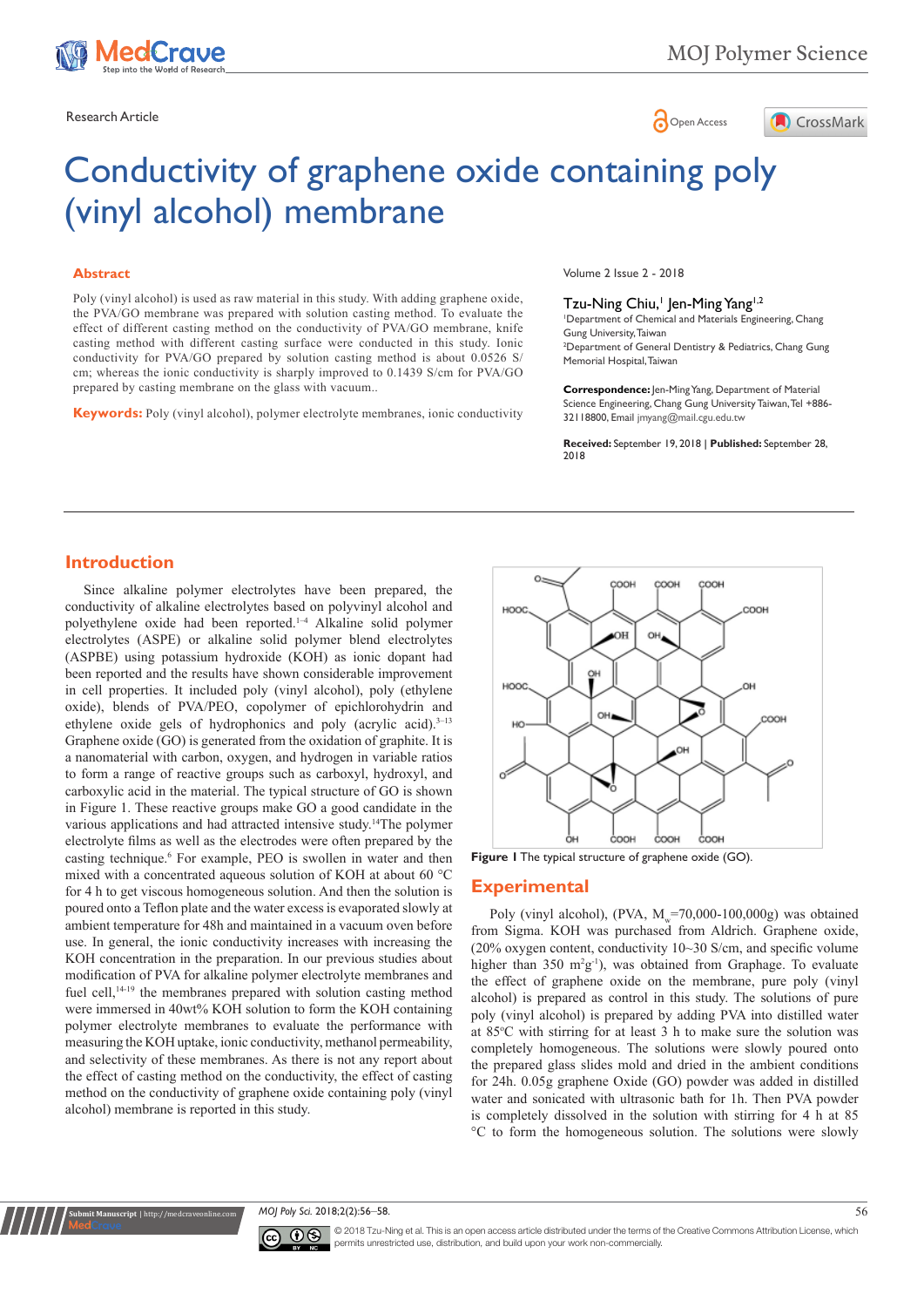

Research Article **Contracts and Contracts and Contracts and Contracts and Contracts and Contracts and Copen Access** 



# Conductivity of graphene oxide containing poly (vinyl alcohol) membrane

### **Abstract**

Poly (vinyl alcohol) is used as raw material in this study. With adding graphene oxide, the PVA/GO membrane was prepared with solution casting method. To evaluate the effect of different casting method on the conductivity of PVA/GO membrane, knife casting method with different casting surface were conducted in this study. Ionic conductivity for PVA/GO prepared by solution casting method is about 0.0526 S/ cm; whereas the ionic conductivity is sharply improved to 0.1439 S/cm for PVA/GO prepared by casting membrane on the glass with vacuum..

**Keywords:** Poly (vinyl alcohol), polymer electrolyte membranes, ionic conductivity

Volume 2 Issue 2 - 2018

### Tzu-Ning Chiu,<sup>1</sup> Jen-Ming Yang<sup>1,2</sup>

1 Department of Chemical and Materials Engineering, Chang Gung University, Taiwan 2 Department of General Dentistry & Pediatrics, Chang Gung Memorial Hospital, Taiwan

**Correspondence:** Jen-Ming Yang, Department of Material Science Engineering, Chang Gung University Taiwan, Tel +886- 32118800, Email jmyang@mail.cgu.edu.tw

**Received:** September 19, 2018 | **Published:** September 28, 2018

## **Introduction**

Since alkaline polymer electrolytes have been prepared, the conductivity of alkaline electrolytes based on polyvinyl alcohol and polyethylene oxide had been reported.1–4 Alkaline solid polymer electrolytes (ASPE) or alkaline solid polymer blend electrolytes (ASPBE) using potassium hydroxide (KOH) as ionic dopant had been reported and the results have shown considerable improvement in cell properties. It included poly (vinyl alcohol), poly (ethylene oxide), blends of PVA/PEO, copolymer of epichlorohydrin and ethylene oxide gels of hydrophonics and poly (acrylic acid).<sup>3-13</sup> Graphene oxide (GO) is generated from the oxidation of graphite. It is a nanomaterial with carbon, oxygen, and hydrogen in variable ratios to form a range of reactive groups such as carboxyl, hydroxyl, and carboxylic acid in the material. The typical structure of GO is shown in Figure 1. These reactive groups make GO a good candidate in the various applications and had attracted intensive study.14The polymer electrolyte films as well as the electrodes were often prepared by the casting technique.<sup>6</sup> For example, PEO is swollen in water and then mixed with a concentrated aqueous solution of KOH at about 60 °C for 4 h to get viscous homogeneous solution. And then the solution is poured onto a Teflon plate and the water excess is evaporated slowly at ambient temperature for 48h and maintained in a vacuum oven before use. In general, the ionic conductivity increases with increasing the KOH concentration in the preparation. In our previous studies about modification of PVA for alkaline polymer electrolyte membranes and fuel cell,<sup>14-19</sup> the membranes prepared with solution casting method were immersed in 40wt% KOH solution to form the KOH containing polymer electrolyte membranes to evaluate the performance with measuring the KOH uptake, ionic conductivity, methanol permeability, and selectivity of these membranes. As there is not any report about the effect of casting method on the conductivity, the effect of casting method on the conductivity of graphene oxide containing poly (vinyl alcohol) membrane is reported in this study.



**Figure 1** The typical structure of graphene oxide (GO).

### **Experimental**

Poly (vinyl alcohol), (PVA,  $M_v$ =70,000-100,000g) was obtained from Sigma. KOH was purchased from Aldrich. Graphene oxide, (20% oxygen content, conductivity 10~30 S/cm, and specific volume higher than  $350 \text{ m}^2\text{g}^{-1}$ , was obtained from Graphage. To evaluate the effect of graphene oxide on the membrane, pure poly (vinyl alcohol) is prepared as control in this study. The solutions of pure poly (vinyl alcohol) is prepared by adding PVA into distilled water at 85°C with stirring for at least 3 h to make sure the solution was completely homogeneous. The solutions were slowly poured onto the prepared glass slides mold and dried in the ambient conditions for 24h. 0.05g graphene Oxide (GO) powder was added in distilled water and sonicated with ultrasonic bath for 1h. Then PVA powder is completely dissolved in the solution with stirring for 4 h at 85 °C to form the homogeneous solution. The solutions were slowly

*MOJ Poly Sci.* 2018;2(2):56‒58. 56



**it Manuscript** | http://medcra

© 2018 Tzu-Ning et al. This is an open access article distributed under the terms of the [Creative Commons Attribution License,](https://creativecommons.org/licenses/by-nc/4.0/) which permits unrestricted use, distribution, and build upon your work non-commercially.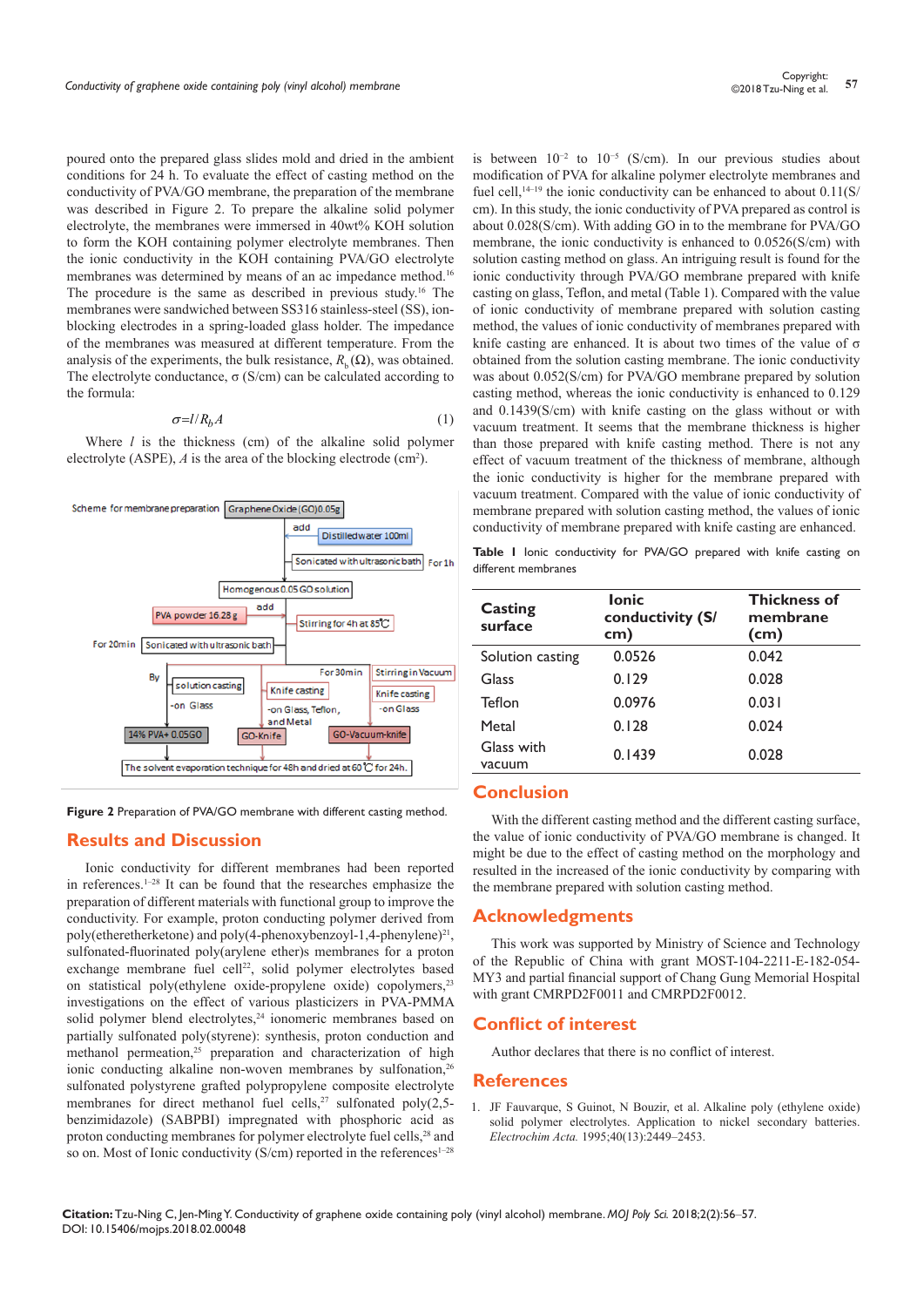poured onto the prepared glass slides mold and dried in the ambient conditions for 24 h. To evaluate the effect of casting method on the conductivity of PVA/GO membrane, the preparation of the membrane was described in Figure 2. To prepare the alkaline solid polymer electrolyte, the membranes were immersed in 40wt% KOH solution to form the KOH containing polymer electrolyte membranes. Then the ionic conductivity in the KOH containing PVA/GO electrolyte membranes was determined by means of an ac impedance method.<sup>16</sup> The procedure is the same as described in previous study.16 The membranes were sandwiched between SS316 stainless-steel (SS), ionblocking electrodes in a spring-loaded glass holder. The impedance of the membranes was measured at different temperature. From the analysis of the experiments, the bulk resistance,  $R_b(\Omega)$ , was obtained. The electrolyte conductance,  $\sigma$  (S/cm) can be calculated according to the formula:

$$
\sigma = l/R_b A \tag{1}
$$

Where *l* is the thickness (cm) of the alkaline solid polymer electrolyte (ASPE),  $\vec{A}$  is the area of the blocking electrode (cm<sup>2</sup>).



**Figure 2** Preparation of PVA/GO membrane with different casting method.

## **Results and Discussion**

Ionic conductivity for different membranes had been reported in references.<sup>1–28</sup> It can be found that the researches emphasize the preparation of different materials with functional group to improve the conductivity. For example, proton conducting polymer derived from poly(etheretherketone) and poly(4-phenoxybenzoyl-1,4-phenylene)<sup>21</sup>, sulfonated-fluorinated poly(arylene ether)s membranes for a proton exchange membrane fuel cell<sup>22</sup>, solid polymer electrolytes based on statistical poly(ethylene oxide-propylene oxide) copolymers,<sup>23</sup> investigations on the effect of various plasticizers in PVA-PMMA solid polymer blend electrolytes,<sup>24</sup> ionomeric membranes based on partially sulfonated poly(styrene): synthesis, proton conduction and methanol permeation,<sup>25</sup> preparation and characterization of high ionic conducting alkaline non-woven membranes by sulfonation,<sup>26</sup> sulfonated polystyrene grafted polypropylene composite electrolyte membranes for direct methanol fuel cells,<sup>27</sup> sulfonated poly(2,5benzimidazole) (SABPBI) impregnated with phosphoric acid as proton conducting membranes for polymer electrolyte fuel cells,<sup>28</sup> and so on. Most of Ionic conductivity (S/cm) reported in the references<sup>1-28</sup>

is between 10−2 to 10−5 (S/cm). In our previous studies about modification of PVA for alkaline polymer electrolyte membranes and fuel cell,<sup>14–19</sup> the ionic conductivity can be enhanced to about  $0.11(S)$ cm). In this study, the ionic conductivity of PVA prepared as control is about 0.028(S/cm). With adding GO in to the membrane for PVA/GO membrane, the ionic conductivity is enhanced to 0.0526(S/cm) with solution casting method on glass. An intriguing result is found for the ionic conductivity through PVA/GO membrane prepared with knife casting on glass, Teflon, and metal (Table 1). Compared with the value of ionic conductivity of membrane prepared with solution casting method, the values of ionic conductivity of membranes prepared with knife casting are enhanced. It is about two times of the value of  $\sigma$ obtained from the solution casting membrane. The ionic conductivity was about 0.052(S/cm) for PVA/GO membrane prepared by solution casting method, whereas the ionic conductivity is enhanced to 0.129 and 0.1439(S/cm) with knife casting on the glass without or with vacuum treatment. It seems that the membrane thickness is higher than those prepared with knife casting method. There is not any effect of vacuum treatment of the thickness of membrane, although the ionic conductivity is higher for the membrane prepared with vacuum treatment. Compared with the value of ionic conductivity of membrane prepared with solution casting method, the values of ionic conductivity of membrane prepared with knife casting are enhanced.

**Table 1** Ionic conductivity for PVA/GO prepared with knife casting on different membranes

| <b>Casting</b><br>surface | <b>lonic</b><br>conductivity (S/<br>cm) | <b>Thickness of</b><br>membrane<br>(cm) |
|---------------------------|-----------------------------------------|-----------------------------------------|
| Solution casting          | 0.0526                                  | 0.042                                   |
| Glass                     | 0.129                                   | 0.028                                   |
| Teflon                    | 0.0976                                  | 0.031                                   |
| Metal                     | 0.128                                   | 0.024                                   |
| Glass with<br>vacuum      | 0.1439                                  | 0.028                                   |

## **Conclusion**

With the different casting method and the different casting surface, the value of ionic conductivity of PVA/GO membrane is changed. It might be due to the effect of casting method on the morphology and resulted in the increased of the ionic conductivity by comparing with the membrane prepared with solution casting method.

# **Acknowledgments**

This work was supported by Ministry of Science and Technology of the Republic of China with grant MOST-104-2211-E-182-054- MY3 and partial financial support of Chang Gung Memorial Hospital with grant CMRPD2F0011 and CMRPD2F0012.

## **Conflict of interest**

Author declares that there is no conflict of interest.

# **References**

1. [JF Fauvarque, S Guinot, N Bouzir, et al. Alkaline poly \(ethylene oxide\)](https://www.sciencedirect.com/science/article/pii/001346869500212W)  [solid polymer electrolytes. Application to nickel secondary batteries.](https://www.sciencedirect.com/science/article/pii/001346869500212W)  *Electrochim Acta.* [1995;40\(13\):2449–2453.](https://www.sciencedirect.com/science/article/pii/001346869500212W)